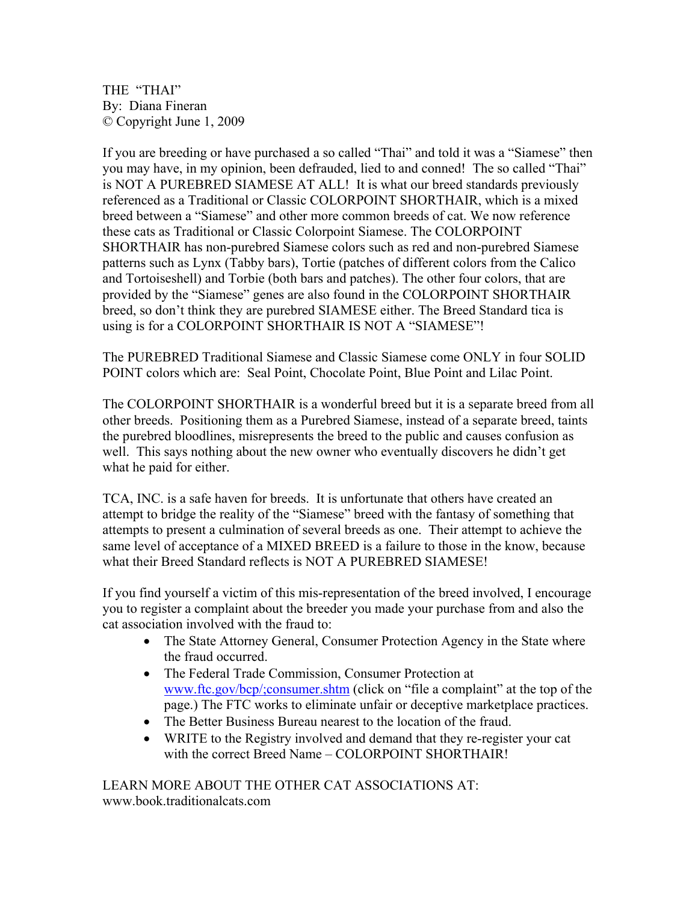THE "THAI" By: Diana Fineran © Copyright June 1, 2009

If you are breeding or have purchased a so called "Thai" and told it was a "Siamese" then you may have, in my opinion, been defrauded, lied to and conned! The so called "Thai" is NOT A PUREBRED SIAMESE AT ALL! It is what our breed standards previously referenced as a Traditional or Classic COLORPOINT SHORTHAIR, which is a mixed breed between a "Siamese" and other more common breeds of cat. We now reference these cats as Traditional or Classic Colorpoint Siamese. The COLORPOINT SHORTHAIR has non-purebred Siamese colors such as red and non-purebred Siamese patterns such as Lynx (Tabby bars), Tortie (patches of different colors from the Calico and Tortoiseshell) and Torbie (both bars and patches). The other four colors, that are provided by the "Siamese" genes are also found in the COLORPOINT SHORTHAIR breed, so don't think they are purebred SIAMESE either. The Breed Standard tica is using is for a COLORPOINT SHORTHAIR IS NOT A "SIAMESE"!

The PUREBRED Traditional Siamese and Classic Siamese come ONLY in four SOLID POINT colors which are: Seal Point, Chocolate Point, Blue Point and Lilac Point.

The COLORPOINT SHORTHAIR is a wonderful breed but it is a separate breed from all other breeds. Positioning them as a Purebred Siamese, instead of a separate breed, taints the purebred bloodlines, misrepresents the breed to the public and causes confusion as well. This says nothing about the new owner who eventually discovers he didn't get what he paid for either.

TCA, INC. is a safe haven for breeds. It is unfortunate that others have created an attempt to bridge the reality of the "Siamese" breed with the fantasy of something that attempts to present a culmination of several breeds as one. Their attempt to achieve the same level of acceptance of a MIXED BREED is a failure to those in the know, because what their Breed Standard reflects is NOT A PUREBRED SIAMESE!

If you find yourself a victim of this mis-representation of the breed involved, I encourage you to register a complaint about the breeder you made your purchase from and also the cat association involved with the fraud to:

- The State Attorney General, Consumer Protection Agency in the State where the fraud occurred.
- The Federal Trade Commission, Consumer Protection at www.ftc.gov/bcp/;consumer.shtm (click on "file a complaint" at the top of the page.) The FTC works to eliminate unfair or deceptive marketplace practices.
- The Better Business Bureau nearest to the location of the fraud.
- WRITE to the Registry involved and demand that they re-register your cat with the correct Breed Name – COLORPOINT SHORTHAIR!

LEARN MORE ABOUT THE OTHER CAT ASSOCIATIONS AT: www.book.traditionalcats.com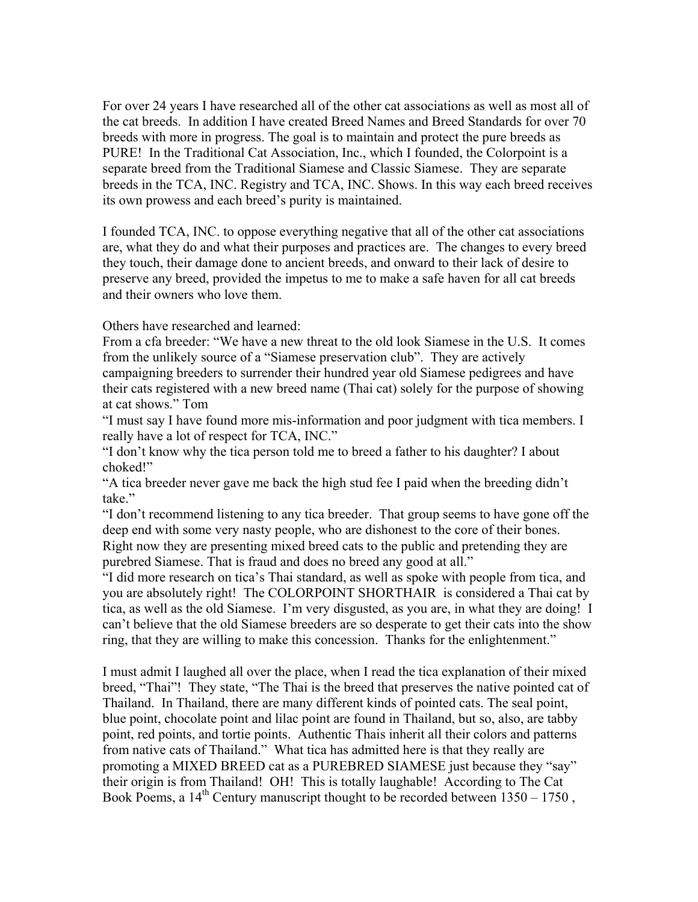For over 24 years I have researched all of the other cat associations as well as most all of the cat breeds. In addition I have created Breed Names and Breed Standards for over 70 breeds with more in progress. The goal is to maintain and protect the pure breeds as PURE! In the Traditional Cat Association, Inc., which I founded, the Colorpoint is a separate breed from the Traditional Siamese and Classic Siamese. They are separate breeds in the TCA, INC. Registry and TCA, INC. Shows. In this way each breed receives its own prowess and each breed's purity is maintained.

I founded TCA, INC. to oppose everything negative that all of the other cat associations are, what they do and what their purposes and practices are. The changes to every breed they touch, their damage done to ancient breeds, and onward to their lack of desire to preserve any breed, provided the impetus to me to make a safe haven for all cat breeds and their owners who love them.

Others have researched and learned:

From a cfa breeder: "We have a new threat to the old look Siamese in the U.S. It comes from the unlikely source of a "Siamese preservation club". They are actively campaigning breeders to surrender their hundred year old Siamese pedigrees and have their cats registered with a new breed name (Thai cat) solely for the purpose of showing at cat shows." Tom

"I must say I have found more mis-information and poor judgment with tica members. I really have a lot of respect for TCA, INC."

"I don't know why the tica person told me to breed a father to his daughter? I about choked!"

"A tica breeder never gave me back the high stud fee I paid when the breeding didn't take."

"I don't recommend listening to any tica breeder. That group seems to have gone off the deep end with some very nasty people, who are dishonest to the core of their bones. Right now they are presenting mixed breed cats to the public and pretending they are purebred Siamese. That is fraud and does no breed any good at all."

"I did more research on tica's Thai standard, as well as spoke with people from tica, and you are absolutely right! The COLORPOINT SHORTHAIR is considered a Thai cat by tica, as well as the old Siamese. I'm very disgusted, as you are, in what they are doing! I can't believe that the old Siamese breeders are so desperate to get their cats into the show ring, that they are willing to make this concession. Thanks for the enlightenment."

I must admit I laughed all over the place, when I read the tica explanation of their mixed breed, "Thai"! They state, "The Thai is the breed that preserves the native pointed cat of Thailand. In Thailand, there are many different kinds of pointed cats. The seal point, blue point, chocolate point and lilac point are found in Thailand, but so, also, are tabby point, red points, and tortie points. Authentic Thais inherit all their colors and patterns from native cats of Thailand." What tica has admitted here is that they really are promoting a MIXED BREED cat as a PUREBRED SIAMESE just because they "say" their origin is from Thailand! OH! This is totally laughable! According to The Cat Book Poems, a  $14<sup>th</sup>$  Century manuscript thought to be recorded between  $1350 - 1750$ ,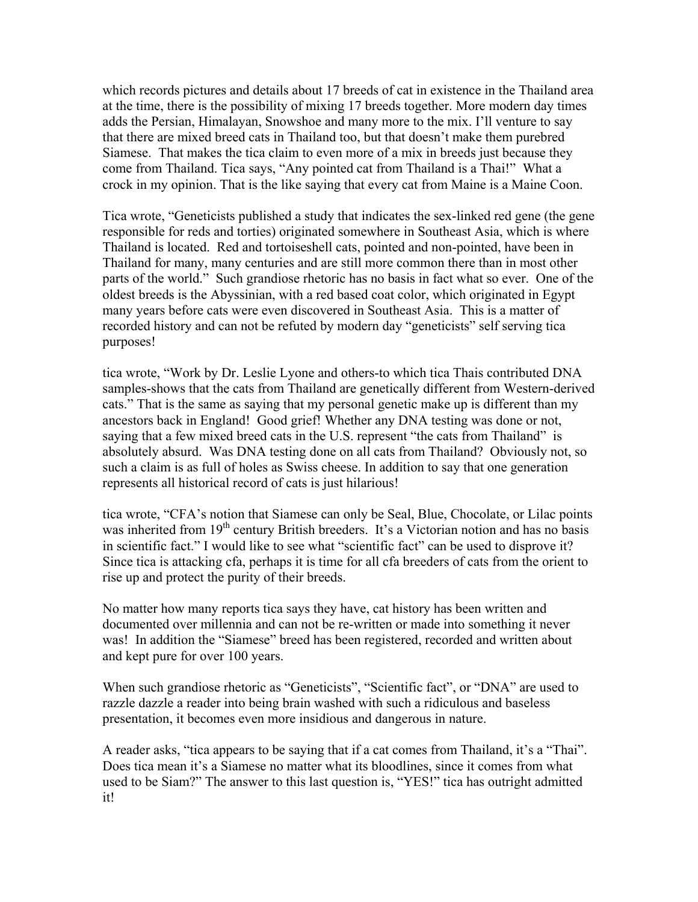which records pictures and details about 17 breeds of cat in existence in the Thailand area at the time, there is the possibility of mixing 17 breeds together. More modern day times adds the Persian, Himalayan, Snowshoe and many more to the mix. I'll venture to say that there are mixed breed cats in Thailand too, but that doesn't make them purebred Siamese. That makes the tica claim to even more of a mix in breeds just because they come from Thailand. Tica says, "Any pointed cat from Thailand is a Thai!" What a crock in my opinion. That is the like saying that every cat from Maine is a Maine Coon.

Tica wrote, "Geneticists published a study that indicates the sex-linked red gene (the gene responsible for reds and torties) originated somewhere in Southeast Asia, which is where Thailand is located. Red and tortoiseshell cats, pointed and non-pointed, have been in Thailand for many, many centuries and are still more common there than in most other parts of the world." Such grandiose rhetoric has no basis in fact what so ever. One of the oldest breeds is the Abyssinian, with a red based coat color, which originated in Egypt many years before cats were even discovered in Southeast Asia. This is a matter of recorded history and can not be refuted by modern day "geneticists" self serving tica purposes!

tica wrote, "Work by Dr. Leslie Lyone and others-to which tica Thais contributed DNA samples-shows that the cats from Thailand are genetically different from Western-derived cats." That is the same as saying that my personal genetic make up is different than my ancestors back in England! Good grief! Whether any DNA testing was done or not, saying that a few mixed breed cats in the U.S. represent "the cats from Thailand" is absolutely absurd. Was DNA testing done on all cats from Thailand? Obviously not, so such a claim is as full of holes as Swiss cheese. In addition to say that one generation represents all historical record of cats is just hilarious!

tica wrote, "CFA's notion that Siamese can only be Seal, Blue, Chocolate, or Lilac points was inherited from 19<sup>th</sup> century British breeders. It's a Victorian notion and has no basis in scientific fact." I would like to see what "scientific fact" can be used to disprove it? Since tica is attacking cfa, perhaps it is time for all cfa breeders of cats from the orient to rise up and protect the purity of their breeds.

No matter how many reports tica says they have, cat history has been written and documented over millennia and can not be re-written or made into something it never was! In addition the "Siamese" breed has been registered, recorded and written about and kept pure for over 100 years.

When such grandiose rhetoric as "Geneticists", "Scientific fact", or "DNA" are used to razzle dazzle a reader into being brain washed with such a ridiculous and baseless presentation, it becomes even more insidious and dangerous in nature.

A reader asks, "tica appears to be saying that if a cat comes from Thailand, it's a "Thai". Does tica mean it's a Siamese no matter what its bloodlines, since it comes from what used to be Siam?" The answer to this last question is, "YES!" tica has outright admitted it!